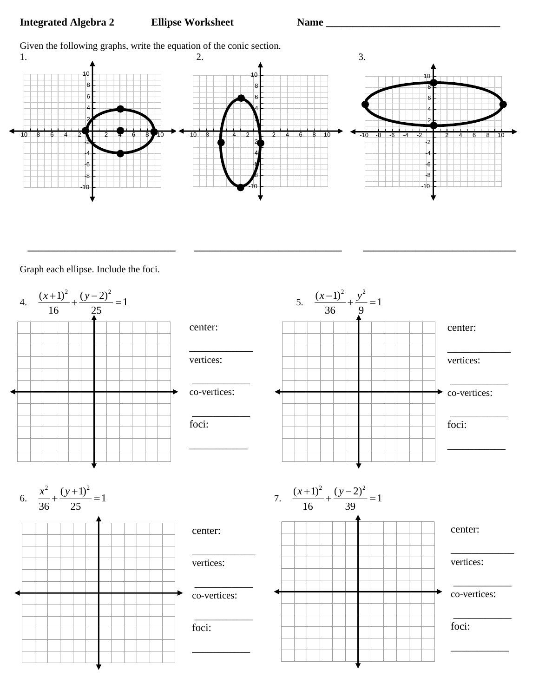## **Integrated Algebra 2 Ellipse Worksheet Name \_\_\_\_\_\_\_\_\_\_\_\_\_\_\_\_\_\_\_\_\_\_\_\_\_\_\_\_\_\_\_\_\_\_\_**

Given the following graphs, write the equation of the conic section.



 **\_\_\_\_\_\_\_\_\_\_\_\_\_\_\_\_\_\_\_\_\_\_\_\_\_\_\_\_ \_\_\_\_\_\_\_\_\_\_\_\_\_\_\_\_\_\_\_\_\_\_\_\_\_\_\_\_ \_\_\_\_\_\_\_\_\_\_\_\_\_\_\_\_\_\_\_\_\_\_\_\_\_\_\_\_\_**

Graph each ellipse. Include the foci.